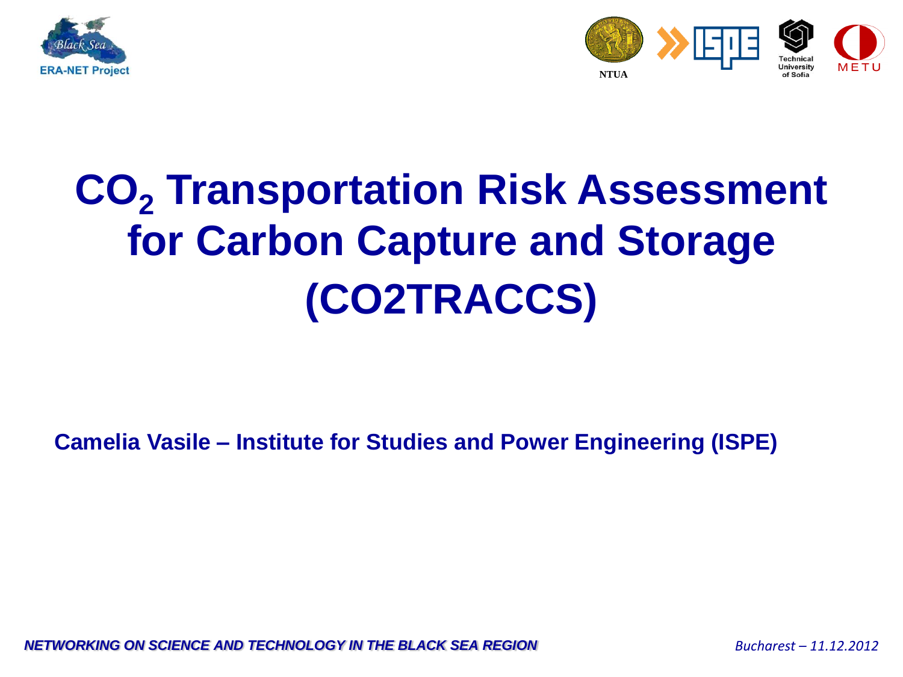



# **for Carbon Capture and Storage CO<sup>2</sup> Transportation Risk Assessment (CO2TRACCS)**

**Camelia Vasile – Institute for Studies and Power Engineering (ISPE)**

*NETWORKING ON SCIENCE AND TECHNOLOGY IN THE BLACK SEA REGION Bucharest – 11.12.2012*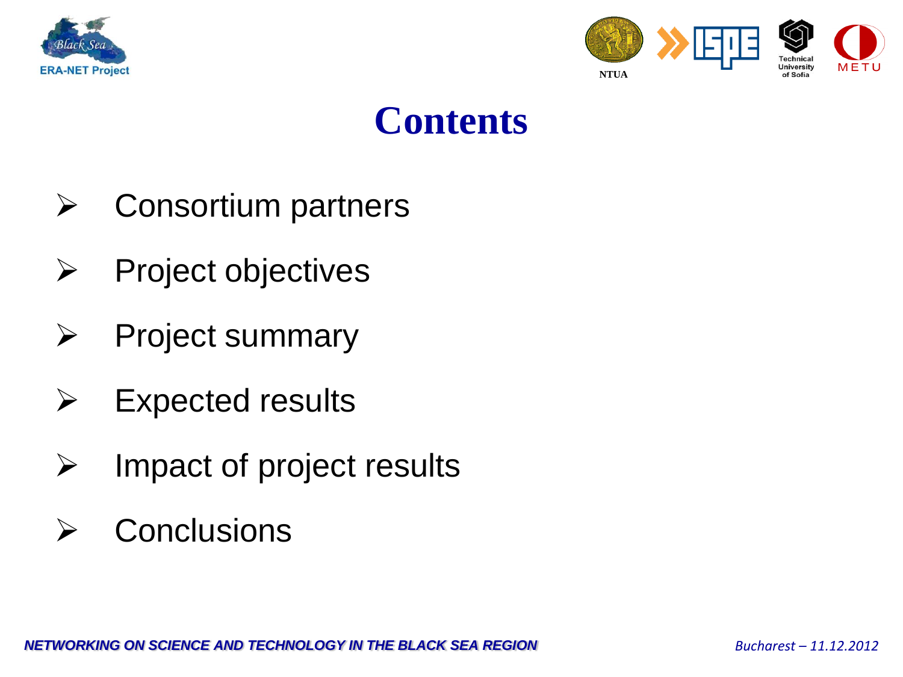



## **Contents**

- $\triangleright$  Consortium partners
- $\triangleright$  Project objectives
	- $\triangleright$  Project summary
	- $\triangleright$  Expected results
	- $\triangleright$  Impact of project results
	- $\triangleright$  Conclusions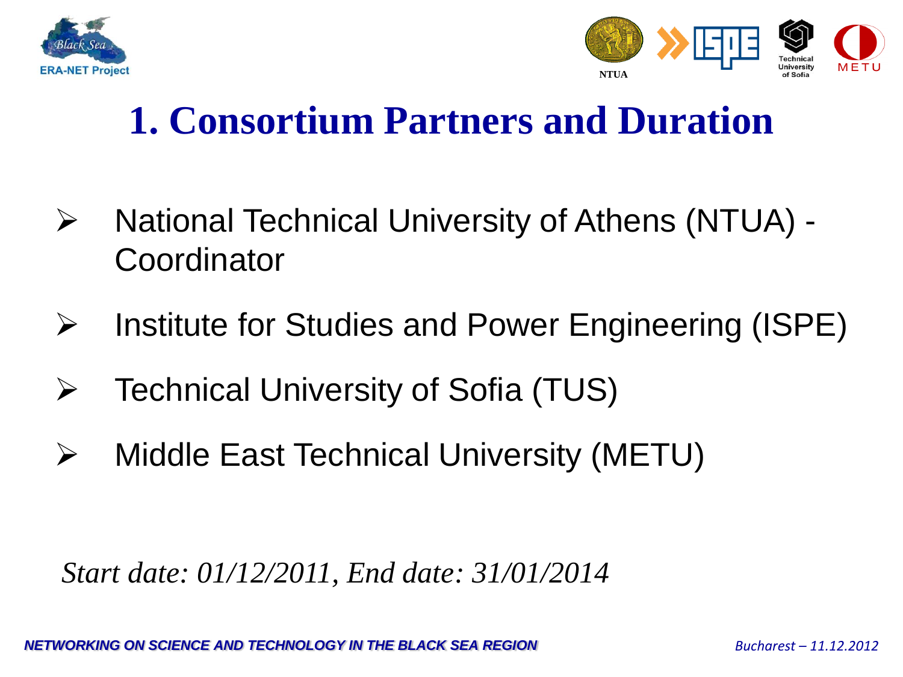



## **1. Consortium Partners and Duration**

- ▶ National Technical University of Athens (NTUA) -**Coordinator**
- $\triangleright$  Institute for Studies and Power Engineering (ISPE)
- Technical University of Sofia (TUS)
- Middle East Technical University (METU)

*Start date: 01/12/2011, End date: 31/01/2014*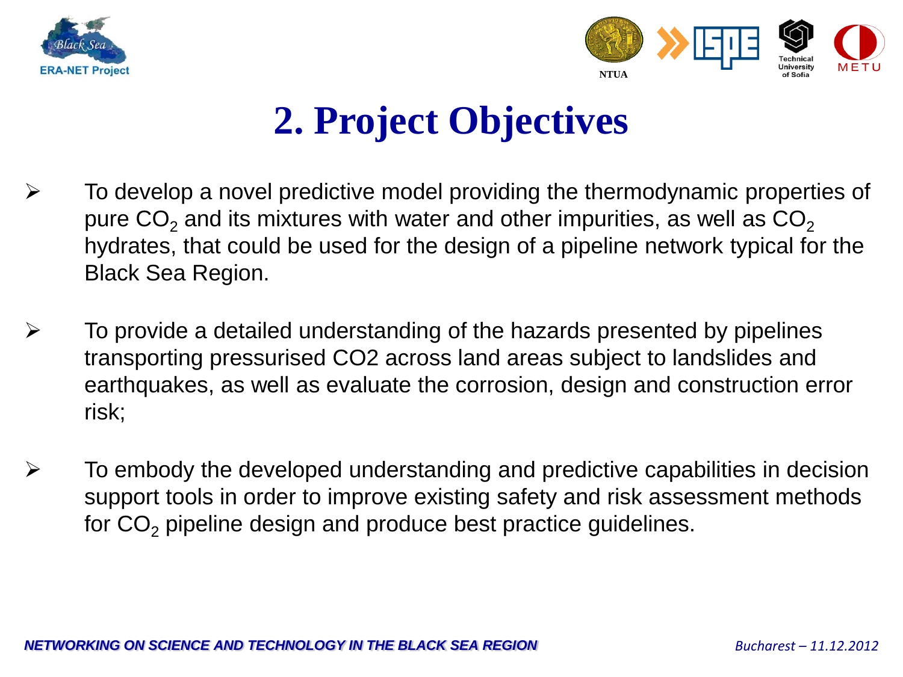



## **2. Project Objectives**

- $\triangleright$  To develop a novel predictive model providing the thermodynamic properties of pure  $CO<sub>2</sub>$  and its mixtures with water and other impurities, as well as  $CO<sub>2</sub>$ hydrates, that could be used for the design of a pipeline network typical for the Black Sea Region.
- $\triangleright$  To provide a detailed understanding of the hazards presented by pipelines transporting pressurised CO2 across land areas subject to landslides and earthquakes, as well as evaluate the corrosion, design and construction error risk;
- $\triangleright$  To embody the developed understanding and predictive capabilities in decision support tools in order to improve existing safety and risk assessment methods for  $CO<sub>2</sub>$  pipeline design and produce best practice guidelines.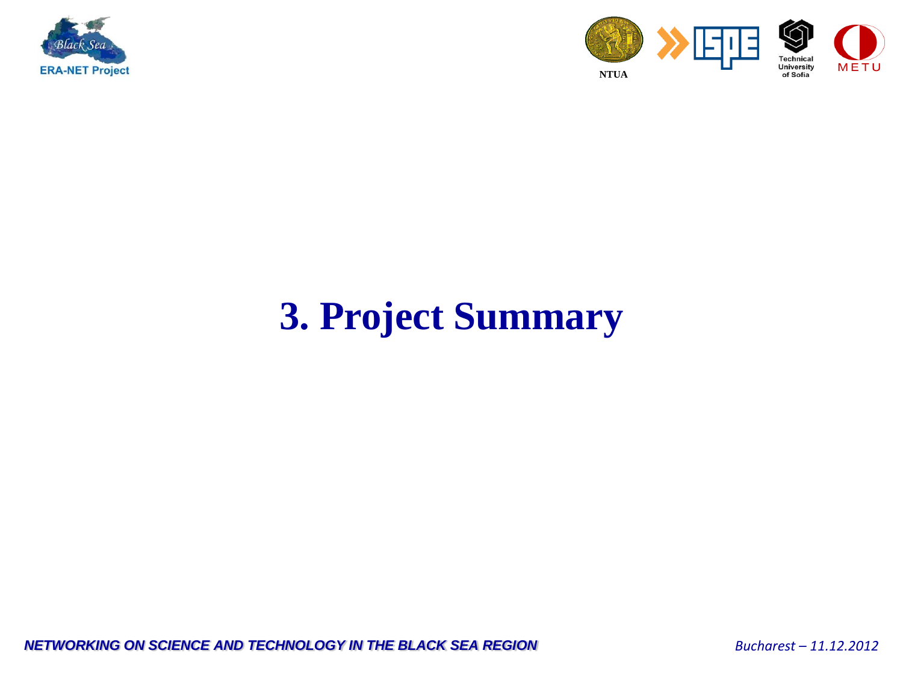



## **3. Project Summary**

*NETWORKING ON SCIENCE AND TECHNOLOGY IN THE BLACK SEA REGION <i>Bucharest – 11.12.2012*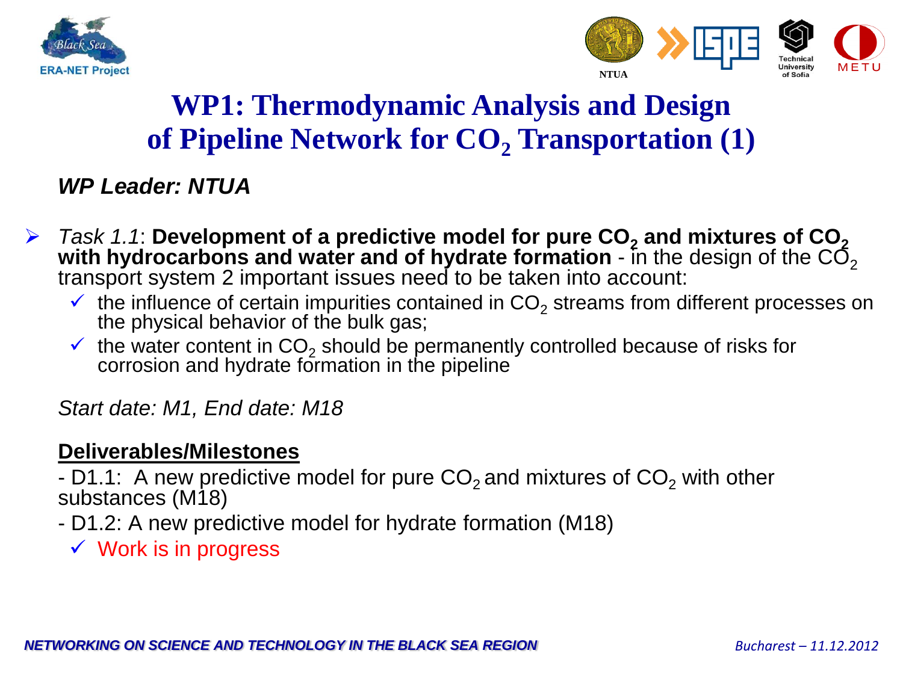



### **WP1: Thermodynamic Analysis and Design of Pipeline Network for CO<sup>2</sup> Transportation (1)**

#### *WP Leader: NTUA*

- *Task 1.1*: **Development of a predictive model for pure CO<sup>2</sup> and mixtures of CO<sup>2</sup> with hydrocarbons and water and of hydrate formation** - in the design of the  $\mathsf{CO}_2$ transport system 2 important issues need to be taken into account:
	- $\checkmark$  the influence of certain impurities contained in CO<sub>2</sub> streams from different processes on the physical behavior of the bulk gas;
	- $\checkmark$  the water content in CO<sub>2</sub> should be permanently controlled because of risks for corrosion and hydrate formation in the pipeline

*Start date: M1, End date: M18*

#### **Deliverables/Milestones**

- D1.1: A new predictive model for pure  $CO<sub>2</sub>$  and mixtures of  $CO<sub>2</sub>$  with other substances (M18)

- D1.2: A new predictive model for hydrate formation (M18)
	- $\checkmark$  Work is in progress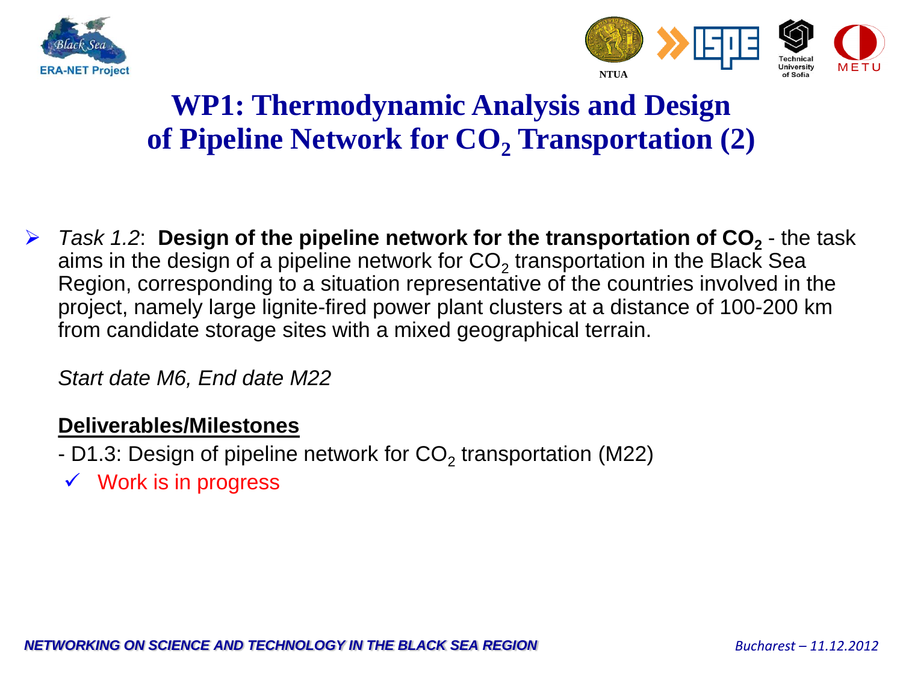



### **WP1: Thermodynamic Analysis and Design of Pipeline Network for CO<sup>2</sup> Transportation (2)**

**►** *Task 1.2*: **Design of the pipeline network for the transportation of CO<sub>2</sub>** - the task aims in the design of a pipeline network for CO<sub>2</sub> transportation in the Black Sea Region, corresponding to a situation representative of the countries involved in the project, namely large lignite-fired power plant clusters at a distance of 100-200 km from candidate storage sites with a mixed geographical terrain.

*Start date M6, End date M22*

- D1.3: Design of pipeline network for CO $_2$  transportation (M22)
- $\checkmark$  Work is in progress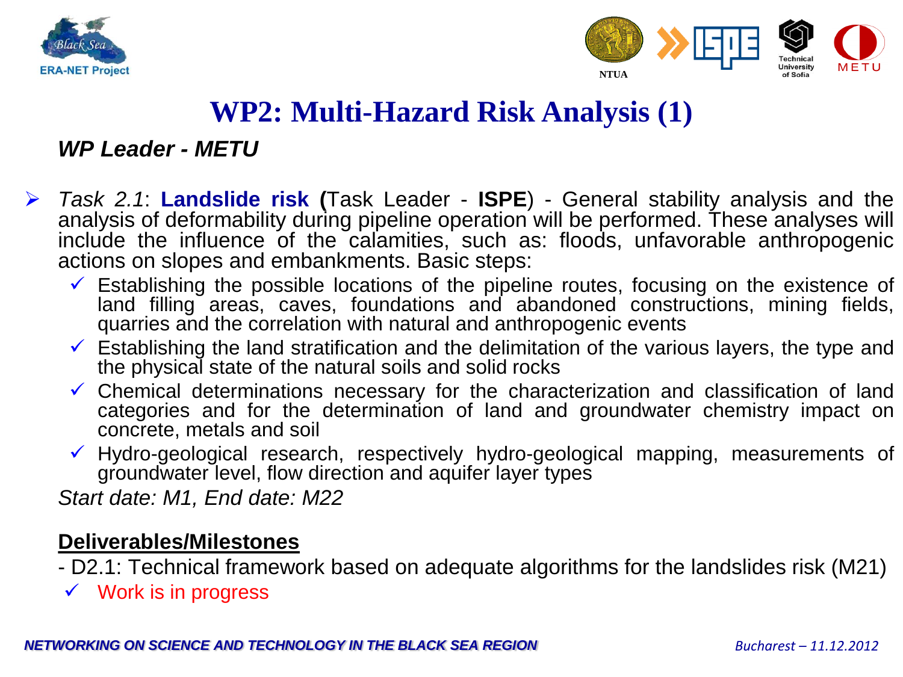



### **WP2: Multi-Hazard Risk Analysis (1)**

*WP Leader - METU*

- *Task 2.1*: **Landslide risk (**Task Leader **ISPE**) General stability analysis and the analysis of deformability during pipeline operation will be performed. These analyses will include the influence of the calamities, such as: floods, unfavorable anthropogenic actions on slopes and embankments. Basic steps:
	- $\checkmark$  Establishing the possible locations of the pipeline routes, focusing on the existence of land filling areas, caves, foundations and abandoned constructions, mining fields, quarries and the correlation with natural and anthropogenic events
	- $\checkmark$  Establishing the land stratification and the delimitation of the various layers, the type and the physical state of the natural soils and solid rocks
	- $\checkmark$  Chemical determinations necessary for the characterization and classification of land categories and for the determination of land and groundwater chemistry impact on concrete, metals and soil
	- $\checkmark$  Hydro-geological research, respectively hydro-geological mapping, measurements of groundwater level, flow direction and aquifer layer types

*Start date: M1, End date: M22*

- D2.1: Technical framework based on adequate algorithms for the landslides risk (M21)
- $\checkmark$  Work is in progress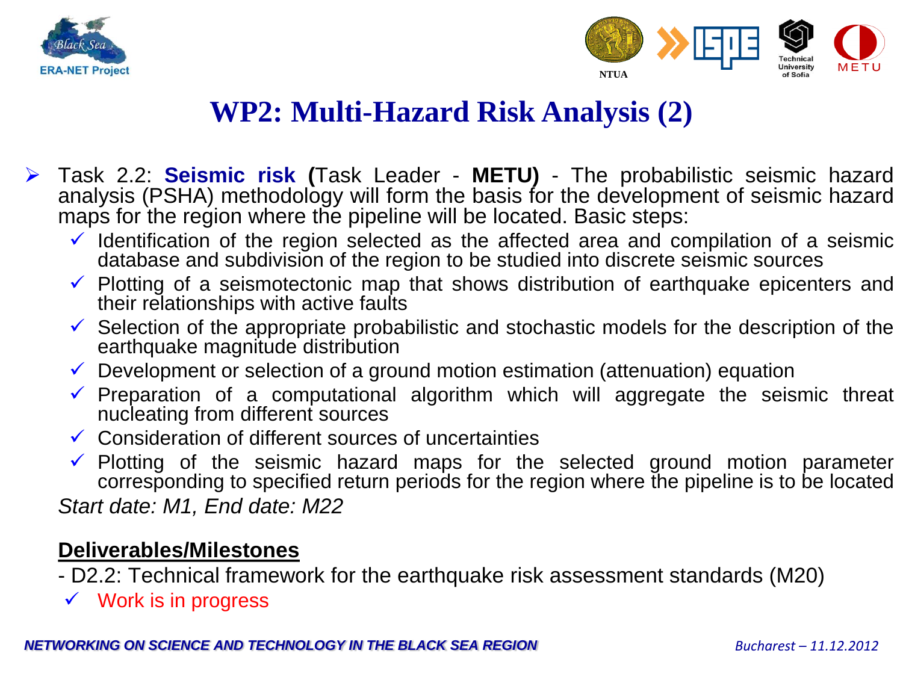



### **WP2: Multi-Hazard Risk Analysis (2)**

- Task 2.2: **Seismic risk (**Task Leader **METU)** The probabilistic seismic hazard analysis (PSHA) methodology will form the basis for the development of seismic hazard maps for the region where the pipeline will be located. Basic steps:
	- $\checkmark$  Identification of the region selected as the affected area and compilation of a seismic database and subdivision of the region to be studied into discrete seismic sources
	- $\checkmark$  Plotting of a seismotectonic map that shows distribution of earthquake epicenters and their relationships with active faults
	- $\checkmark$  Selection of the appropriate probabilistic and stochastic models for the description of the earthquake magnitude distribution
	- $\checkmark$  Development or selection of a ground motion estimation (attenuation) equation
	- $\checkmark$  Preparation of a computational algorithm which will aggregate the seismic threat nucleating from different sources
	- $\checkmark$  Consideration of different sources of uncertainties
	- Plotting of the seismic hazard maps for the selected ground motion parameter corresponding to specified return periods for the region where the pipeline is to be located

*Start date: M1, End date: M22*

- D2.2: Technical framework for the earthquake risk assessment standards (M20)
- $\checkmark$  Work is in progress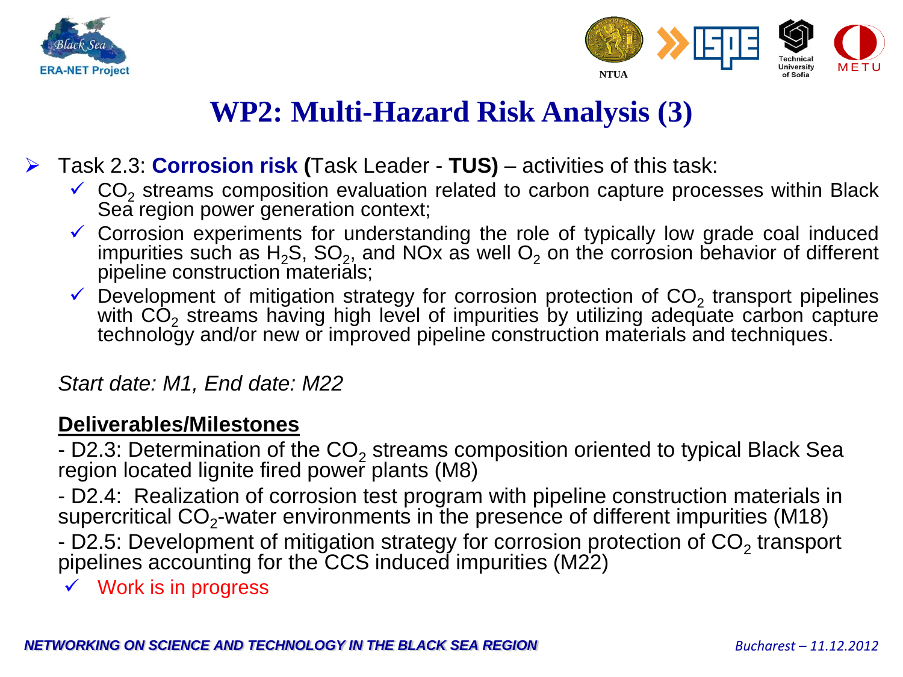



### **WP2: Multi-Hazard Risk Analysis (3)**

- Task 2.3: **Corrosion risk (**Task Leader **TUS)** activities of this task:
	- $\checkmark$  CO<sub>2</sub> streams composition evaluation related to carbon capture processes within Black Sea region power generation context;
	- $\checkmark$  Corrosion experiments for understanding the role of typically low grade coal induced impurities such as H<sub>2</sub>S, SO<sub>2</sub>, and NOx as well O<sub>2</sub> on the corrosion behavior of different pipeline construction materials;
	- $\checkmark$  Development of mitigation strategy for corrosion protection of CO<sub>2</sub> transport pipelines with  $CO<sub>2</sub>$  streams having high level of impurities by utilizing adequate carbon capture technology and/or new or improved pipeline construction materials and techniques.

#### *Start date: M1, End date: M22*

#### **Deliverables/Milestones**

- D2.3: Determination of the  $CO<sub>2</sub>$  streams composition oriented to typical Black Sea region located lignite fired power plants (M8)

- D2.4: Realization of corrosion test program with pipeline construction materials in supercritical CO<sub>2</sub>-water environments in the presence of different impurities (M18)

- D2.5: Development of mitigation strategy for corrosion protection of  $CO<sub>2</sub>$  transport pipelines accounting for the CCS induced impurities (M22)

 $\checkmark$  Work is in progress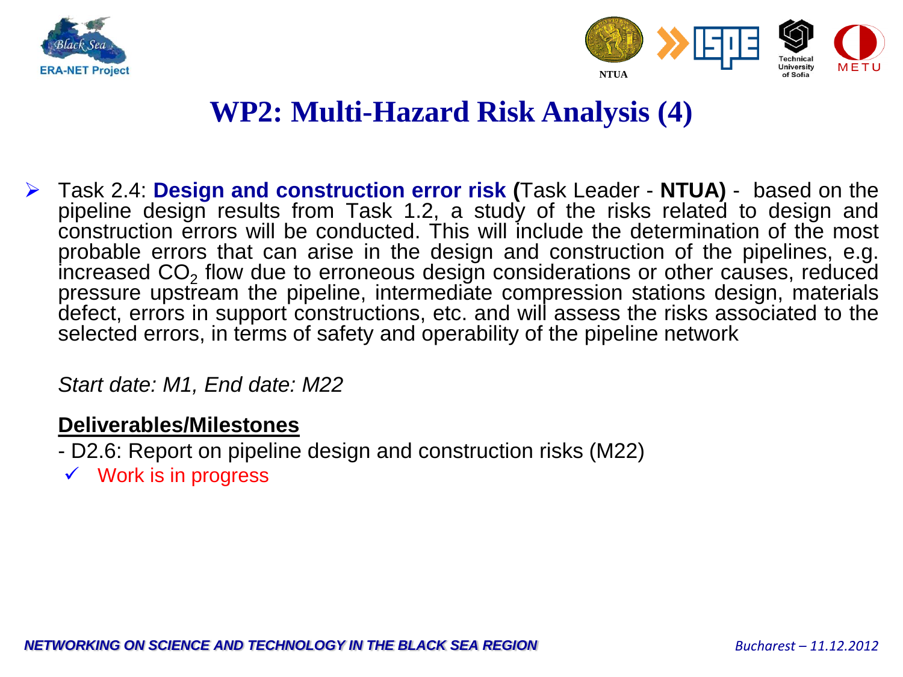



### **WP2: Multi-Hazard Risk Analysis (4)**

 Task 2.4: **Design and construction error risk (**Task Leader - **NTUA)** - based on the pipeline design results from Task 1.2, a study of the risks related to design and construction errors will be conducted. This will include the determination of the most probable errors that can arise in the design and construction of the pipelines, e.g. increased CO<sub>2</sub> flow due to erroneous design considerations or other causes, reduced pressure upstream the pipeline, intermediate compression stations design, materials defect, errors in support constructions, etc. and will assess the risks associated to the selected errors, in terms of safety and operability of the pipeline network

#### *Start date: M1, End date: M22*

- D2.6: Report on pipeline design and construction risks (M22)
- $\checkmark$  Work is in progress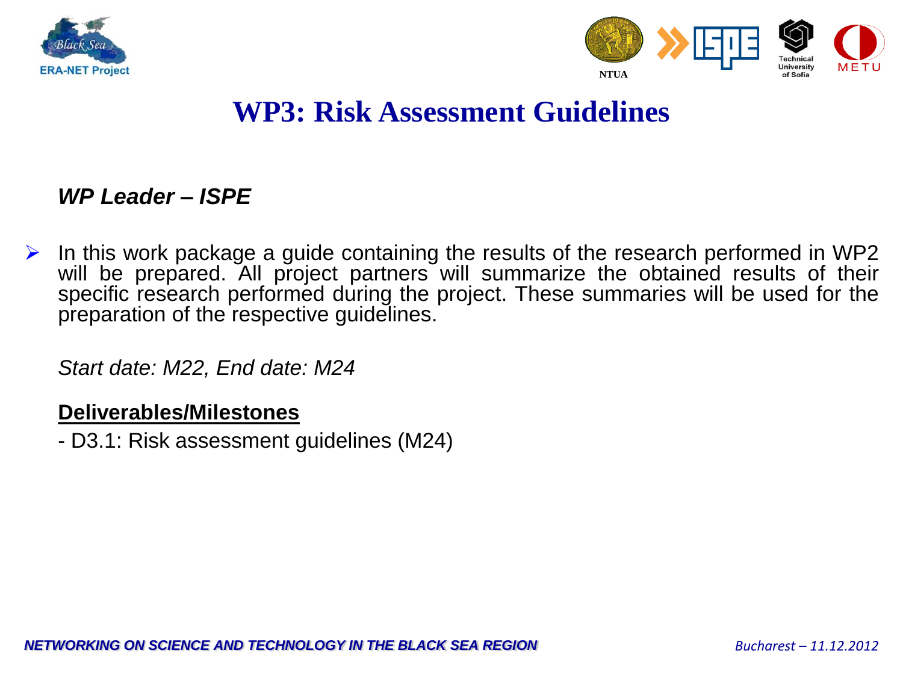



### **WP3: Risk Assessment Guidelines**

#### *WP Leader – ISPE*

 $\triangleright$  In this work package a guide containing the results of the research performed in WP2 will be prepared. All project partners will summarize the obtained results of their specific research performed during the project. These summaries will be used for the preparation of the respective guidelines.

*Start date: M22, End date: M24*

#### **Deliverables/Milestones**

- D3.1: Risk assessment guidelines (M24)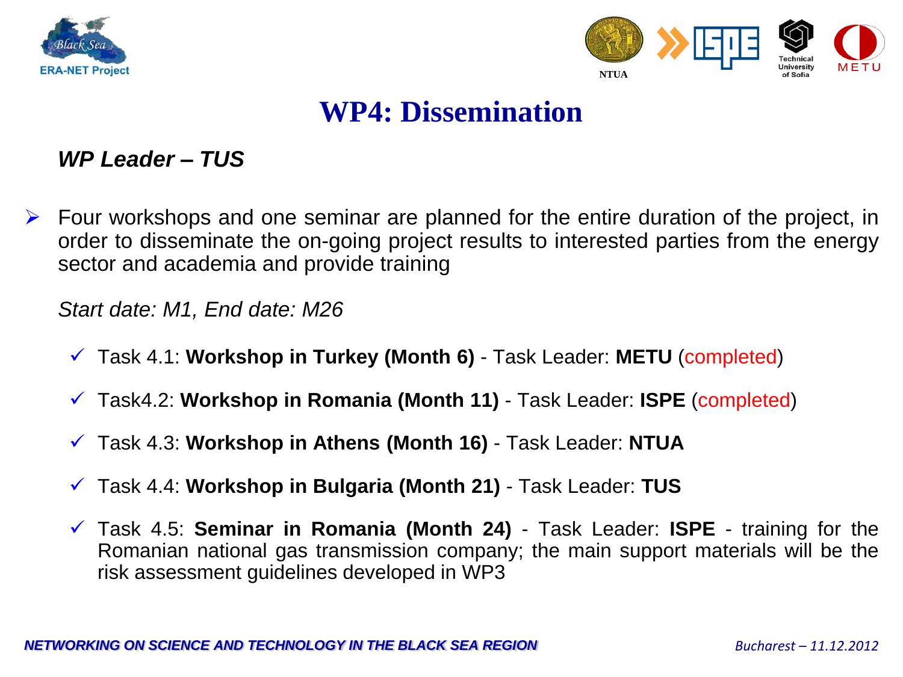



### **WP4: Dissemination**

#### *WP Leader – TUS*

 Four workshops and one seminar are planned for the entire duration of the project, in order to disseminate the on-going project results to interested parties from the energy sector and academia and provide training

*Start date: M1, End date: M26*

- Task 4.1: **Workshop in Turkey (Month 6)** Task Leader: **METU** (completed)
- Task4.2: **Workshop in Romania (Month 11)** Task Leader: **ISPE** (completed)
- Task 4.3: **Workshop in Athens (Month 16)** Task Leader: **NTUA**
- Task 4.4: **Workshop in Bulgaria (Month 21)** Task Leader: **TUS**
- Task 4.5: **Seminar in Romania (Month 24)** Task Leader: **ISPE** training for the Romanian national gas transmission company; the main support materials will be the risk assessment guidelines developed in WP3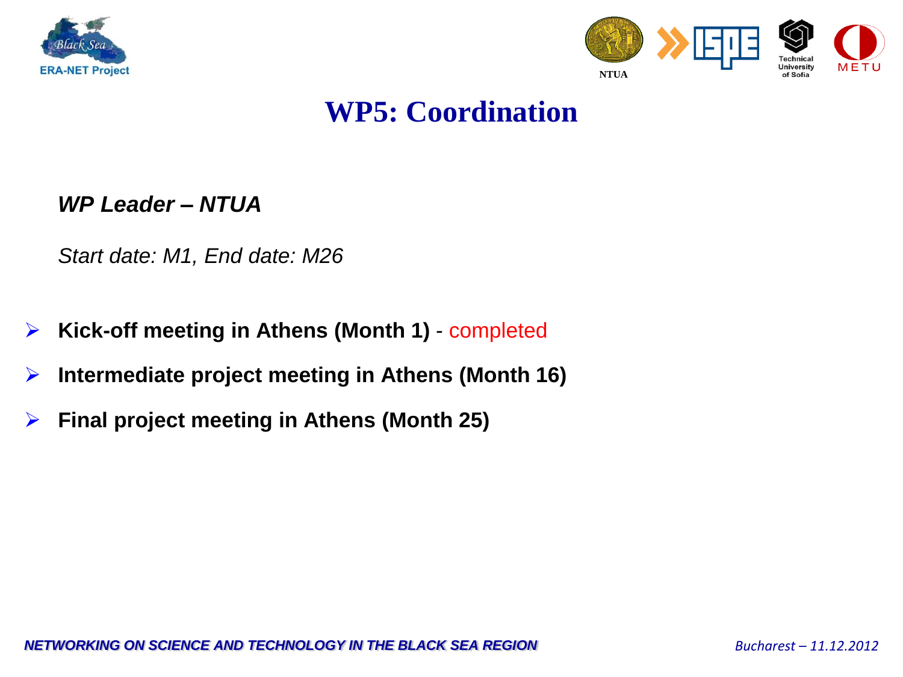



### **WP5: Coordination**

*WP Leader – NTUA*

*Start date: M1, End date: M26*

- **Kick-off meeting in Athens (Month 1)** completed
- **Intermediate project meeting in Athens (Month 16)**
- **Final project meeting in Athens (Month 25)**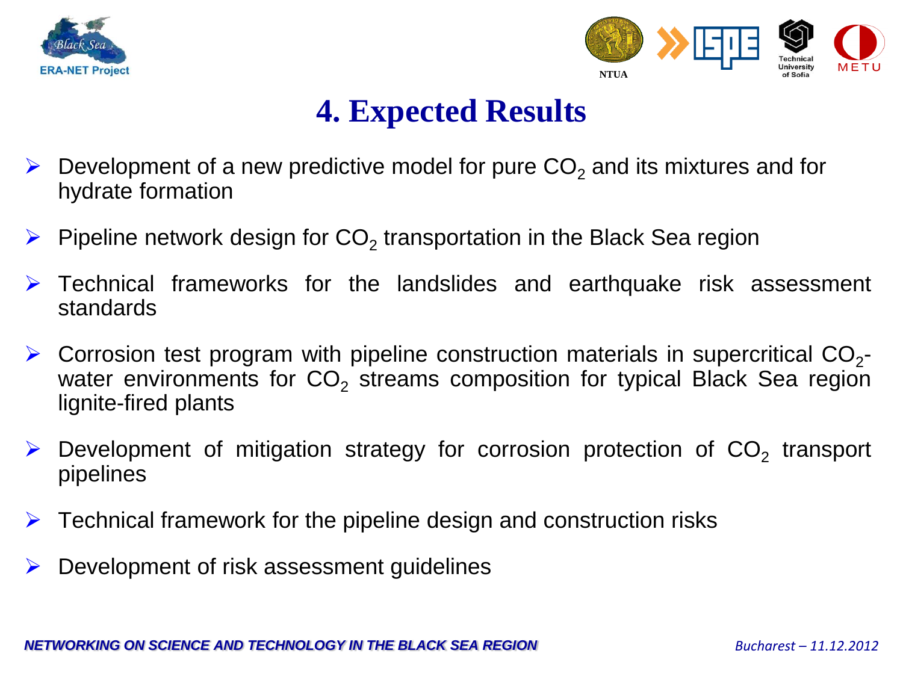



### **4. Expected Results**

- $\triangleright$  Development of a new predictive model for pure CO<sub>2</sub> and its mixtures and for hydrate formation
- $\triangleright$  Pipeline network design for CO<sub>2</sub> transportation in the Black Sea region
- Technical frameworks for the landslides and earthquake risk assessment standards
- $\triangleright$  Corrosion test program with pipeline construction materials in supercritical CO<sub>2</sub>water environments for  $CO<sub>2</sub>$  streams composition for typical Black Sea region lignite-fired plants
- $\triangleright$  Development of mitigation strategy for corrosion protection of CO<sub>2</sub> transport pipelines
- $\triangleright$  Technical framework for the pipeline design and construction risks
- $\triangleright$  Development of risk assessment guidelines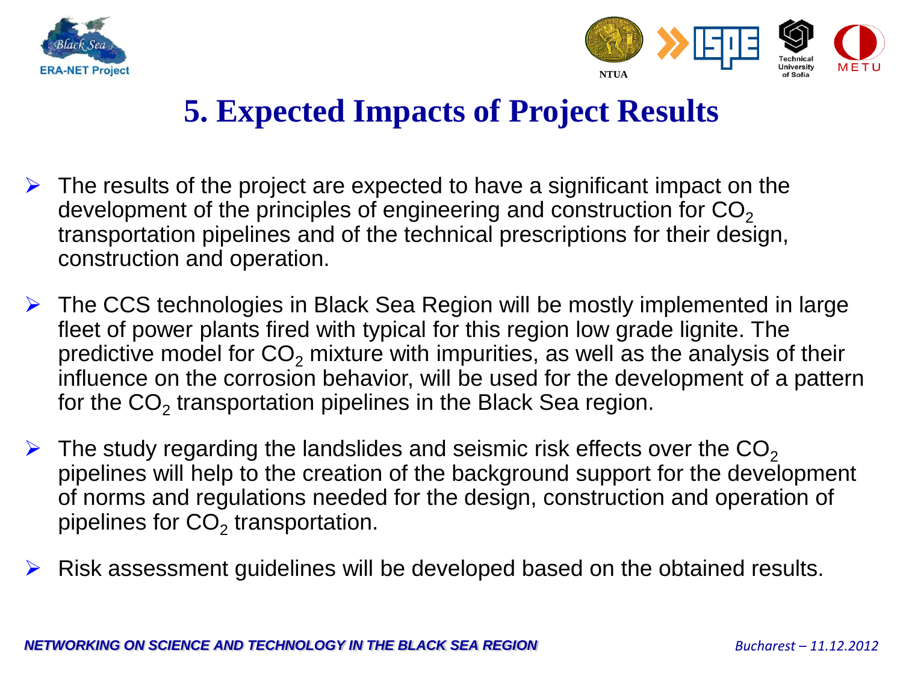



### **5. Expected Impacts of Project Results**

- $\triangleright$  The results of the project are expected to have a significant impact on the development of the principles of engineering and construction for  $CO<sub>2</sub>$ transportation pipelines and of the technical prescriptions for their design, construction and operation.
- The CCS technologies in Black Sea Region will be mostly implemented in large fleet of power plants fired with typical for this region low grade lignite. The predictive model for  $CO<sub>2</sub>$  mixture with impurities, as well as the analysis of their influence on the corrosion behavior, will be used for the development of a pattern for the CO<sub>2</sub> transportation pipelines in the Black Sea region.
- $\triangleright$  The study regarding the landslides and seismic risk effects over the CO<sub>2</sub> pipelines will help to the creation of the background support for the development of norms and regulations needed for the design, construction and operation of pipelines for CO<sub>2</sub> transportation.
- $\triangleright$  Risk assessment guidelines will be developed based on the obtained results.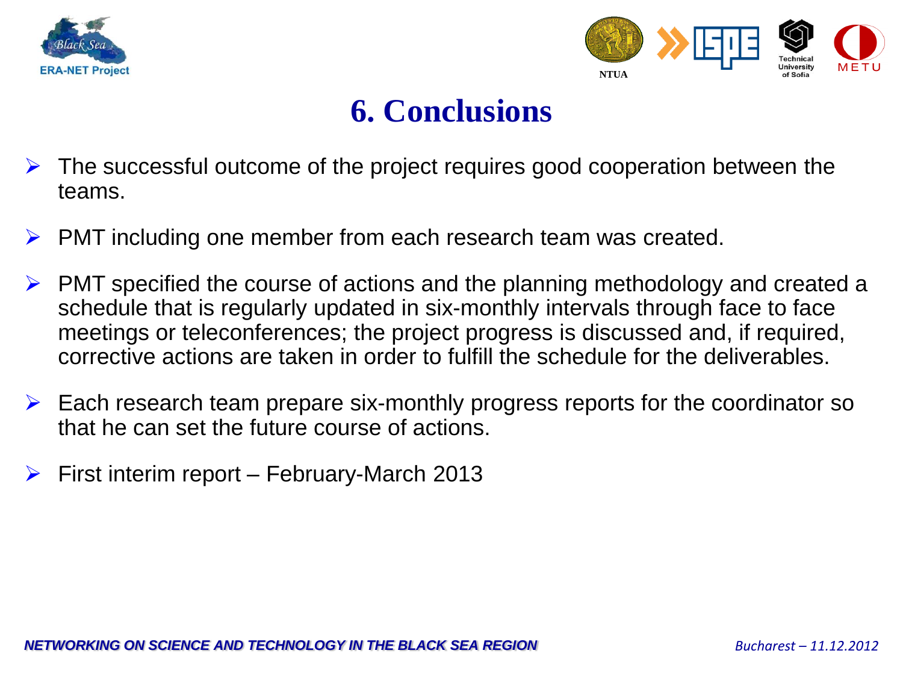



### **6. Conclusions**

- The successful outcome of the project requires good cooperation between the teams.
- $\triangleright$  PMT including one member from each research team was created.
- PMT specified the course of actions and the planning methodology and created a schedule that is regularly updated in six-monthly intervals through face to face meetings or teleconferences; the project progress is discussed and, if required, corrective actions are taken in order to fulfill the schedule for the deliverables.
- $\triangleright$  Each research team prepare six-monthly progress reports for the coordinator so that he can set the future course of actions.
- $\triangleright$  First interim report February-March 2013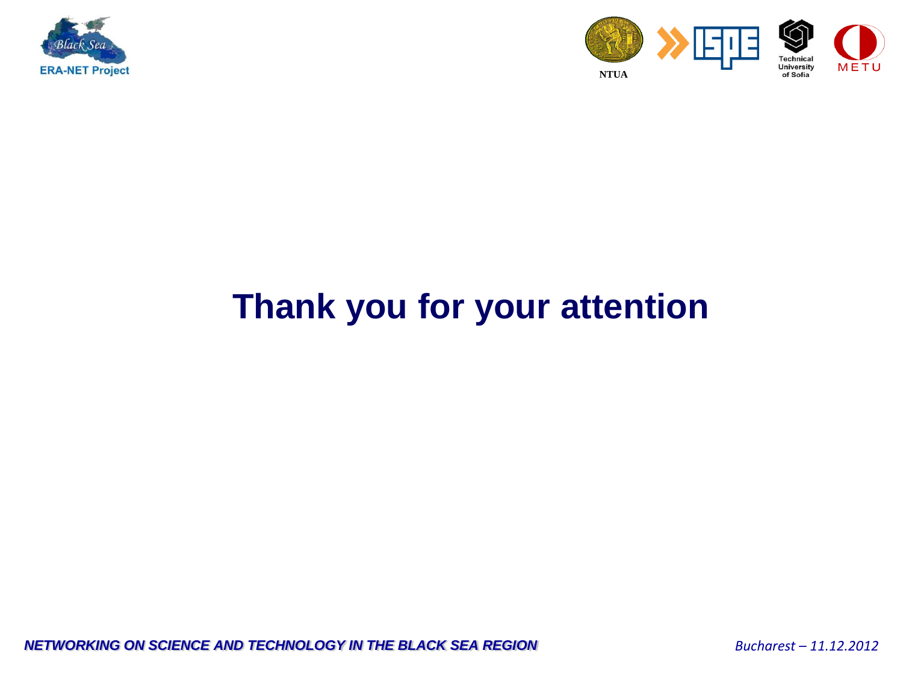



## **Thank you for your attention**

*NETWORKING ON SCIENCE AND TECHNOLOGY IN THE BLACK SEA REGION <i>Bucharest – 11.12.2012*